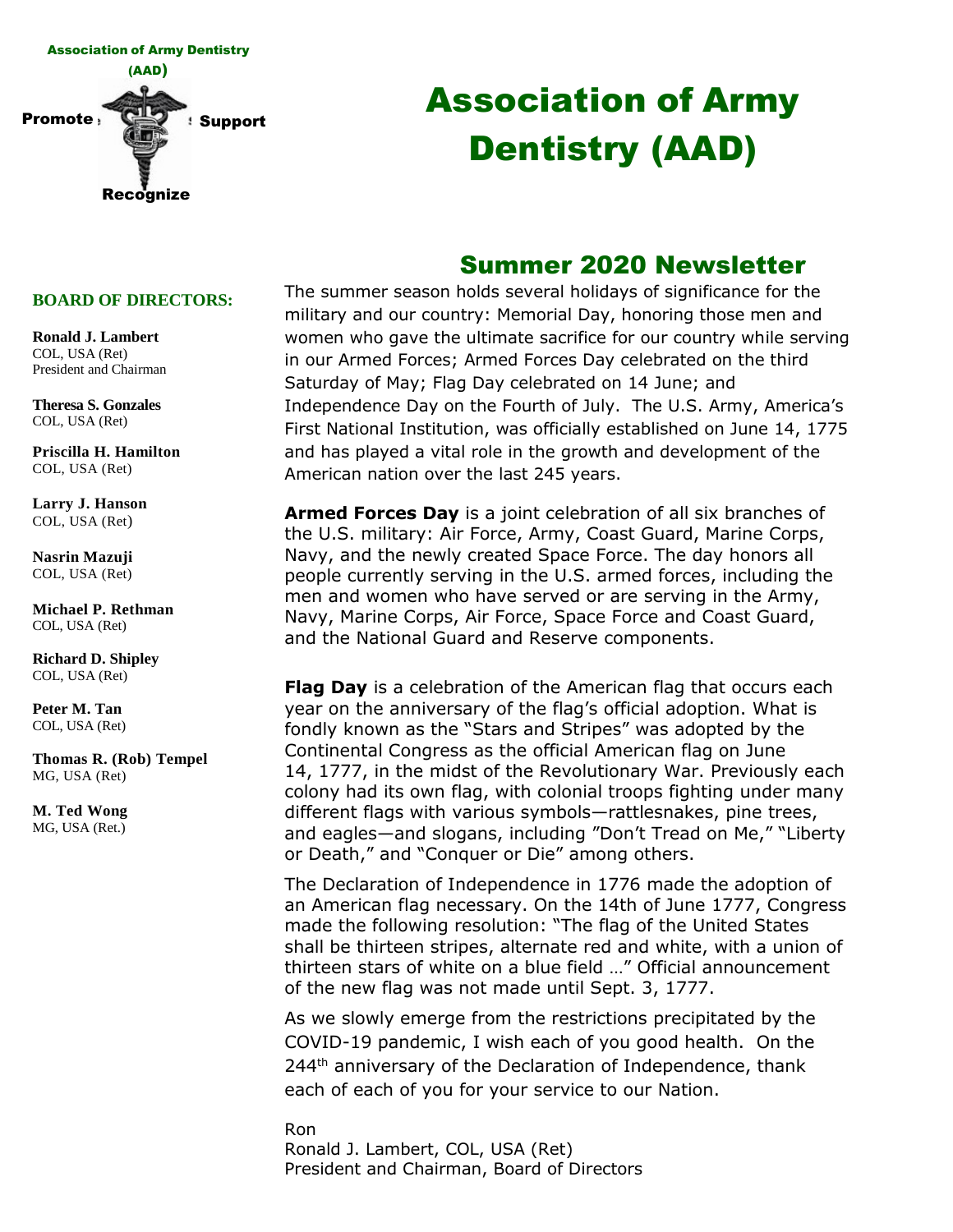

# Association of Army Dentistry (AAD)

## Summer 2020 Newsletter

#### **BOARD OF DIRECTORS:**

**Ronald J. Lambert** COL, USA (Ret) President and Chairman

**Theresa S. Gonzales** COL, USA (Ret)

**Priscilla H. Hamilton** COL, USA (Ret)

**Larry J. Hanson** COL, USA (Ret)

**Nasrin Mazuji** COL, USA (Ret)

**Michael P. Rethman** COL, USA (Ret)

**Richard D. Shipley** COL, USA (Ret)

**Peter M. Tan** COL, USA (Ret)

**Thomas R. (Rob) Tempel** MG, USA (Ret)

**M. Ted Wong** MG, USA (Ret.)

The summer season holds several holidays of significance for the military and our country: Memorial Day, honoring those men and women who gave the ultimate sacrifice for our country while serving in our Armed Forces; Armed Forces Day celebrated on the third Saturday of May; Flag Day celebrated on 14 June; and Independence Day on the Fourth of July. The U.S. Army, America's First National Institution, was officially established on June 14, 1775 and has played a vital role in the growth and development of the American nation over the last 245 years.

**Armed Forces Day** is a joint celebration of all six branches of the U.S. military: Air Force, Army, Coast Guard, Marine Corps, Navy, and the newly created Space Force. The day honors all people currently serving in the U.S. armed forces, including the men and women who have served or are serving in the Army, Navy, Marine Corps, Air Force, Space Force and Coast Guard, and the National Guard and Reserve components.

**Flag Day** is a celebration of the American flag that occurs each year on the anniversary of the flag's official adoption. What is fondly known as the "Stars and Stripes" was adopted by the Continental Congress as the official American flag on June 14, 1777, in the midst of the Revolutionary War. Previously each colony had its own flag, with colonial troops fighting under many different flags with various symbols—rattlesnakes, pine trees, and eagles—and slogans, including "Don't Tread on Me," "Liberty or Death," and "Conquer or Die" among others.

The Declaration of Independence in 1776 made the adoption of an American flag necessary. On the 14th of June 1777, Congress made the following resolution: "The flag of the United States shall be thirteen stripes, alternate red and white, with a union of thirteen stars of white on a blue field …" Official announcement of the new flag was not made until Sept. 3, 1777.

As we slowly emerge from the restrictions precipitated by the COVID-19 pandemic, I wish each of you good health. On the 244<sup>th</sup> anniversary of the Declaration of Independence, thank each of each of you for your service to our Nation.

Ron Ronald J. Lambert, COL, USA (Ret) President and Chairman, Board of Directors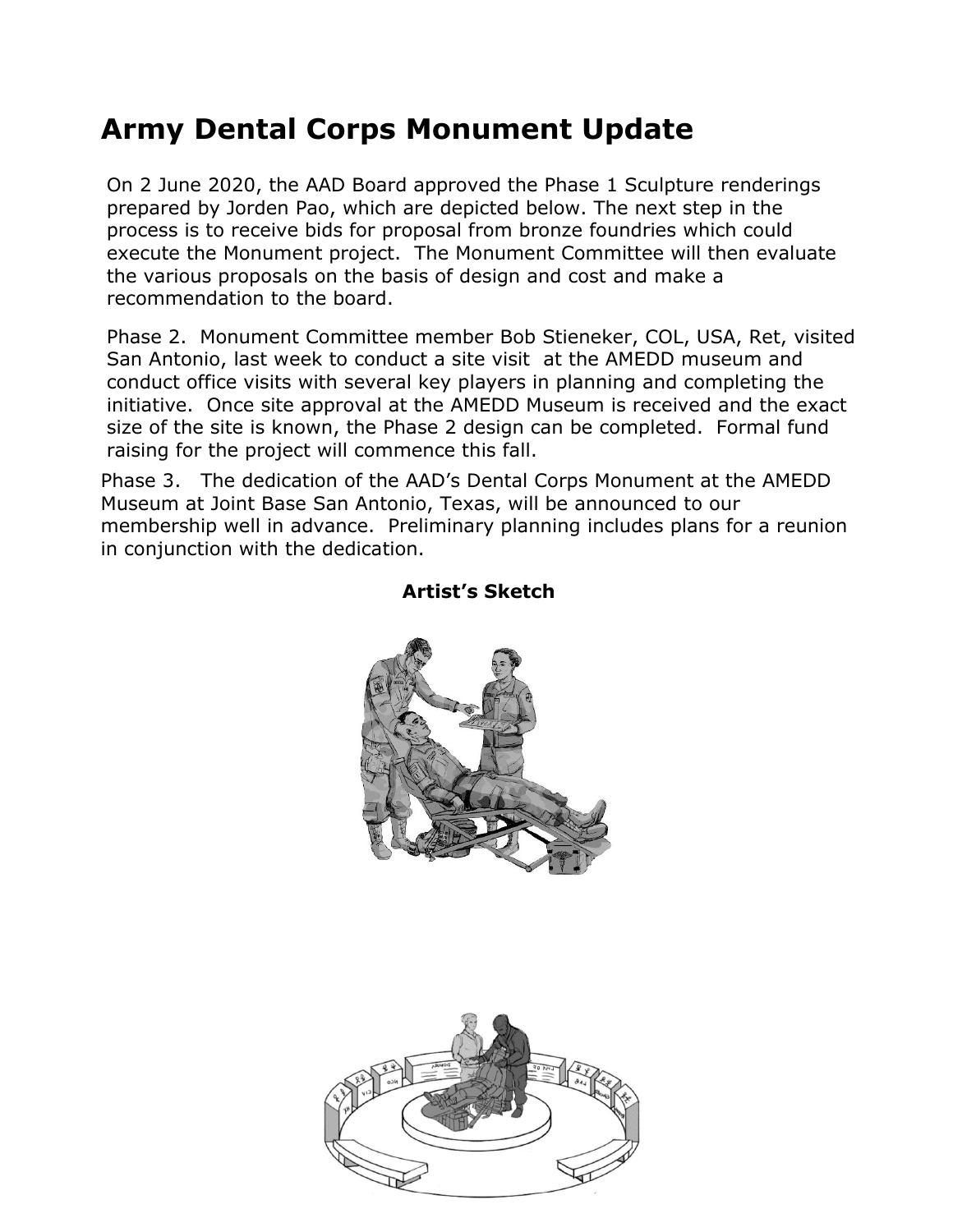# **Army Dental Corps Monument Update**

On 2 June 2020, the AAD Board approved the Phase 1 Sculpture renderings prepared by Jorden Pao, which are depicted below. The next step in the process is to receive bids for proposal from bronze foundries which could execute the Monument project. The Monument Committee will then evaluate the various proposals on the basis of design and cost and make a recommendation to the board.

Phase 2. Monument Committee member Bob Stieneker, COL, USA, Ret, visited San Antonio, last week to conduct a site visit at the AMEDD museum and conduct office visits with several key players in planning and completing the initiative. Once site approval at the AMEDD Museum is received and the exact size of the site is known, the Phase 2 design can be completed. Formal fund raising for the project will commence this fall.

Phase 3. The dedication of the AAD's Dental Corps Monument at the AMEDD Museum at Joint Base San Antonio, Texas, will be announced to our membership well in advance. Preliminary planning includes plans for a reunion in conjunction with the dedication.



#### **Artist's Sketch**

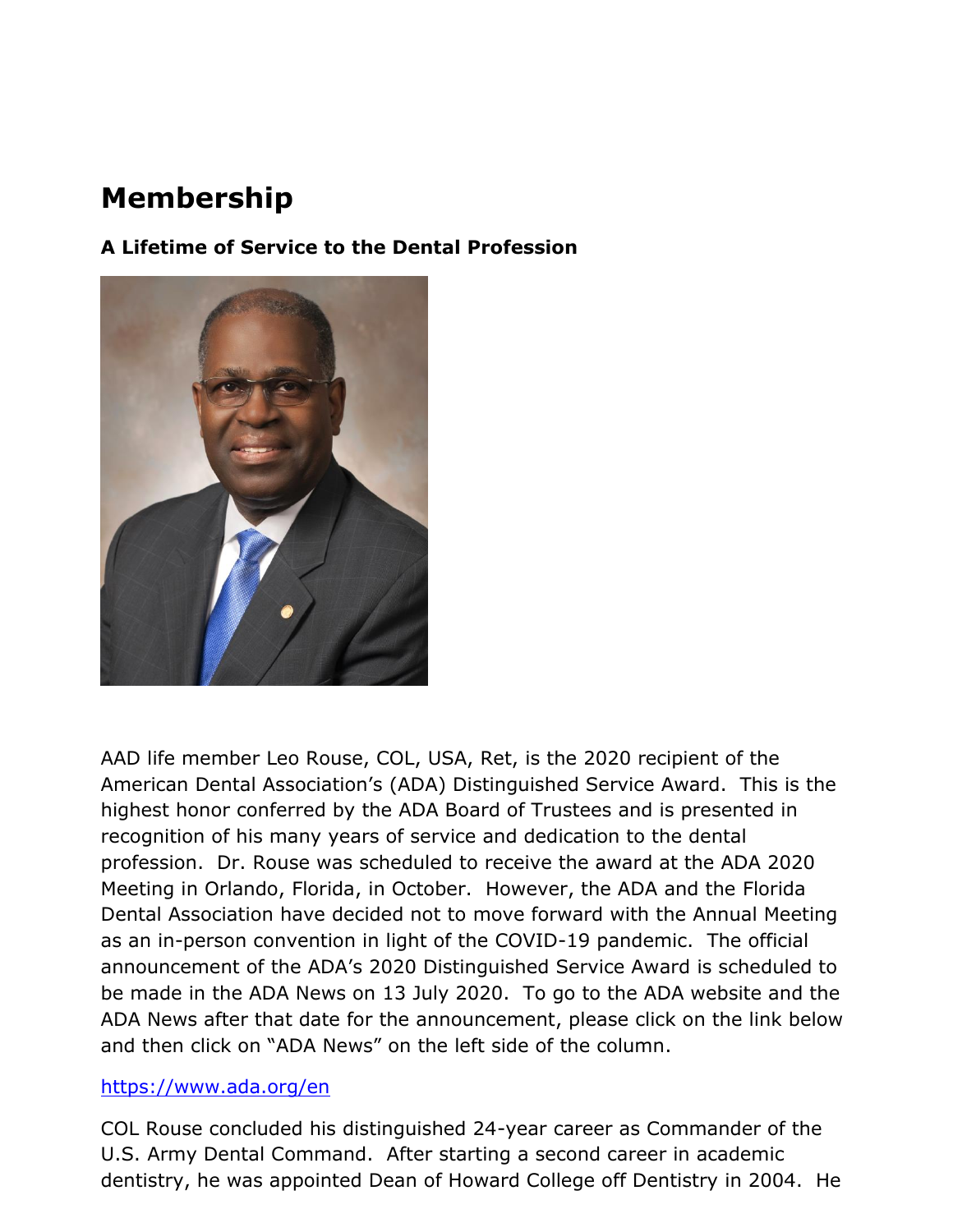## **Membership**

**A Lifetime of Service to the Dental Profession**



AAD life member Leo Rouse, COL, USA, Ret, is the 2020 recipient of the American Dental Association's (ADA) Distinguished Service Award. This is the highest honor conferred by the ADA Board of Trustees and is presented in recognition of his many years of service and dedication to the dental profession. Dr. Rouse was scheduled to receive the award at the ADA 2020 Meeting in Orlando, Florida, in October. However, the ADA and the Florida Dental Association have decided not to move forward with the Annual Meeting as an in-person convention in light of the COVID-19 pandemic. The official announcement of the ADA's 2020 Distinguished Service Award is scheduled to be made in the ADA News on 13 July 2020. To go to the ADA website and the ADA News after that date for the announcement, please click on the link below and then click on "ADA News" on the left side of the column.

#### <https://www.ada.org/en>

COL Rouse concluded his distinguished 24-year career as Commander of the U.S. Army Dental Command. After starting a second career in academic dentistry, he was appointed Dean of Howard College off Dentistry in 2004. He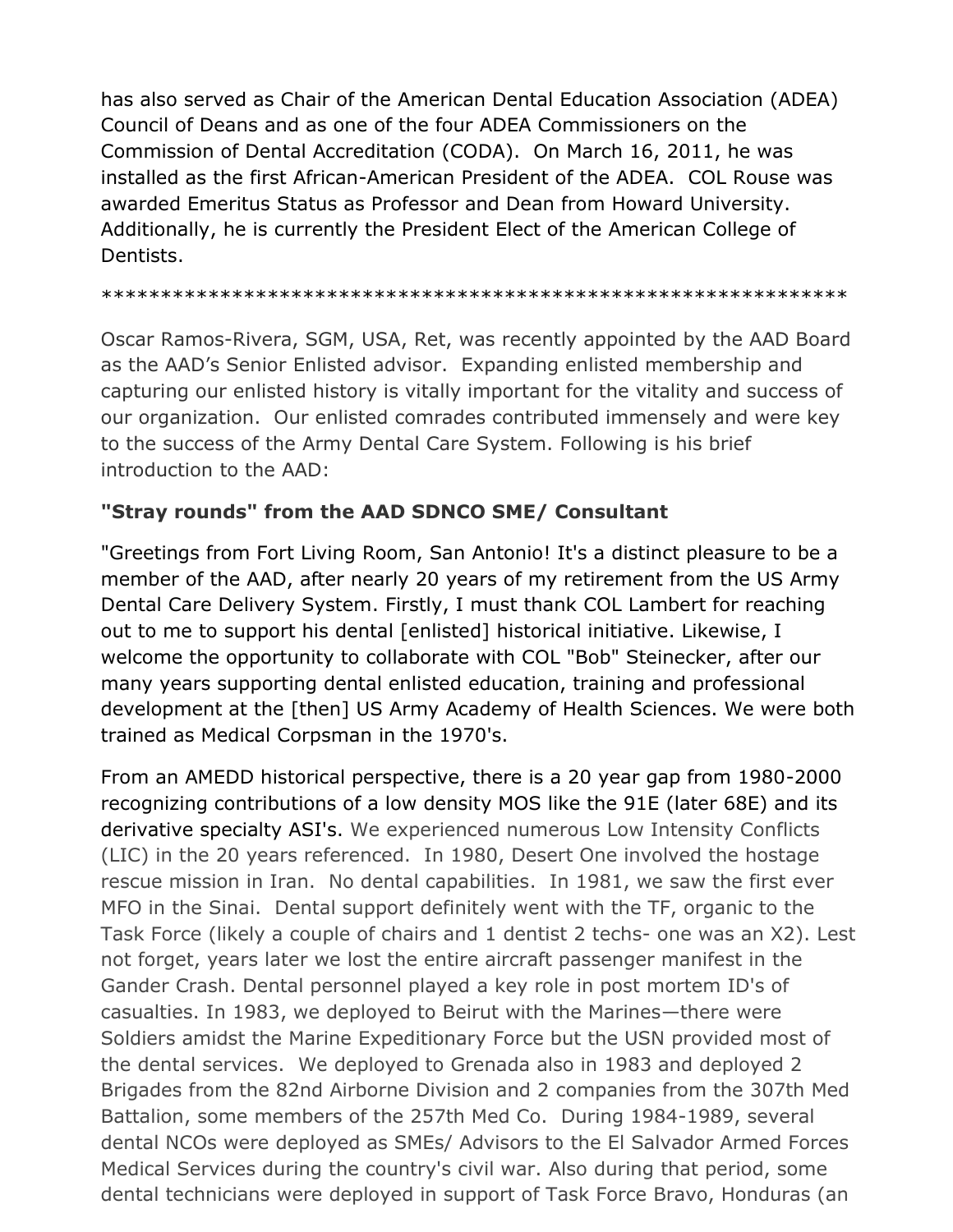has also served as Chair of the American Dental Education Association (ADEA) Council of Deans and as one of the four ADEA Commissioners on the Commission of Dental Accreditation (CODA). On March 16, 2011, he was installed as the first African-American President of the ADEA. COL Rouse was awarded Emeritus Status as Professor and Dean from Howard University. Additionally, he is currently the President Elect of the American College of Dentists.

#### \*\*\*\*\*\*\*\*\*\*\*\*\*\*\*\*\*\*\*\*\*\*\*\*\*\*\*\*\*\*\*\*\*\*\*\*\*\*\*\*\*\*\*\*\*\*\*\*\*\*\*\*\*\*\*\*\*\*\*\*\*\*\*

Oscar Ramos-Rivera, SGM, USA, Ret, was recently appointed by the AAD Board as the AAD's Senior Enlisted advisor. Expanding enlisted membership and capturing our enlisted history is vitally important for the vitality and success of our organization. Our enlisted comrades contributed immensely and were key to the success of the Army Dental Care System. Following is his brief introduction to the AAD:

#### **"Stray rounds" from the AAD SDNCO SME/ Consultant**

"Greetings from Fort Living Room, San Antonio! It's a distinct pleasure to be a member of the AAD, after nearly 20 years of my retirement from the US Army Dental Care Delivery System. Firstly, I must thank COL Lambert for reaching out to me to support his dental [enlisted] historical initiative. Likewise, I welcome the opportunity to collaborate with COL "Bob" Steinecker, after our many years supporting dental enlisted education, training and professional development at the [then] US Army Academy of Health Sciences. We were both trained as Medical Corpsman in the 1970's.

From an AMEDD historical perspective, there is a 20 year gap from 1980-2000 recognizing contributions of a low density MOS like the 91E (later 68E) and its derivative specialty ASI's. We experienced numerous Low Intensity Conflicts (LIC) in the 20 years referenced. In 1980, Desert One involved the hostage rescue mission in Iran. No dental capabilities. In 1981, we saw the first ever MFO in the Sinai. Dental support definitely went with the TF, organic to the Task Force (likely a couple of chairs and 1 dentist 2 techs- one was an X2). Lest not forget, years later we lost the entire aircraft passenger manifest in the Gander Crash. Dental personnel played a key role in post mortem ID's of casualties. In 1983, we deployed to Beirut with the Marines—there were Soldiers amidst the Marine Expeditionary Force but the USN provided most of the dental services. We deployed to Grenada also in 1983 and deployed 2 Brigades from the 82nd Airborne Division and 2 companies from the 307th Med Battalion, some members of the 257th Med Co. During 1984-1989, several dental NCOs were deployed as SMEs/ Advisors to the El Salvador Armed Forces Medical Services during the country's civil war. Also during that period, some dental technicians were deployed in support of Task Force Bravo, Honduras (an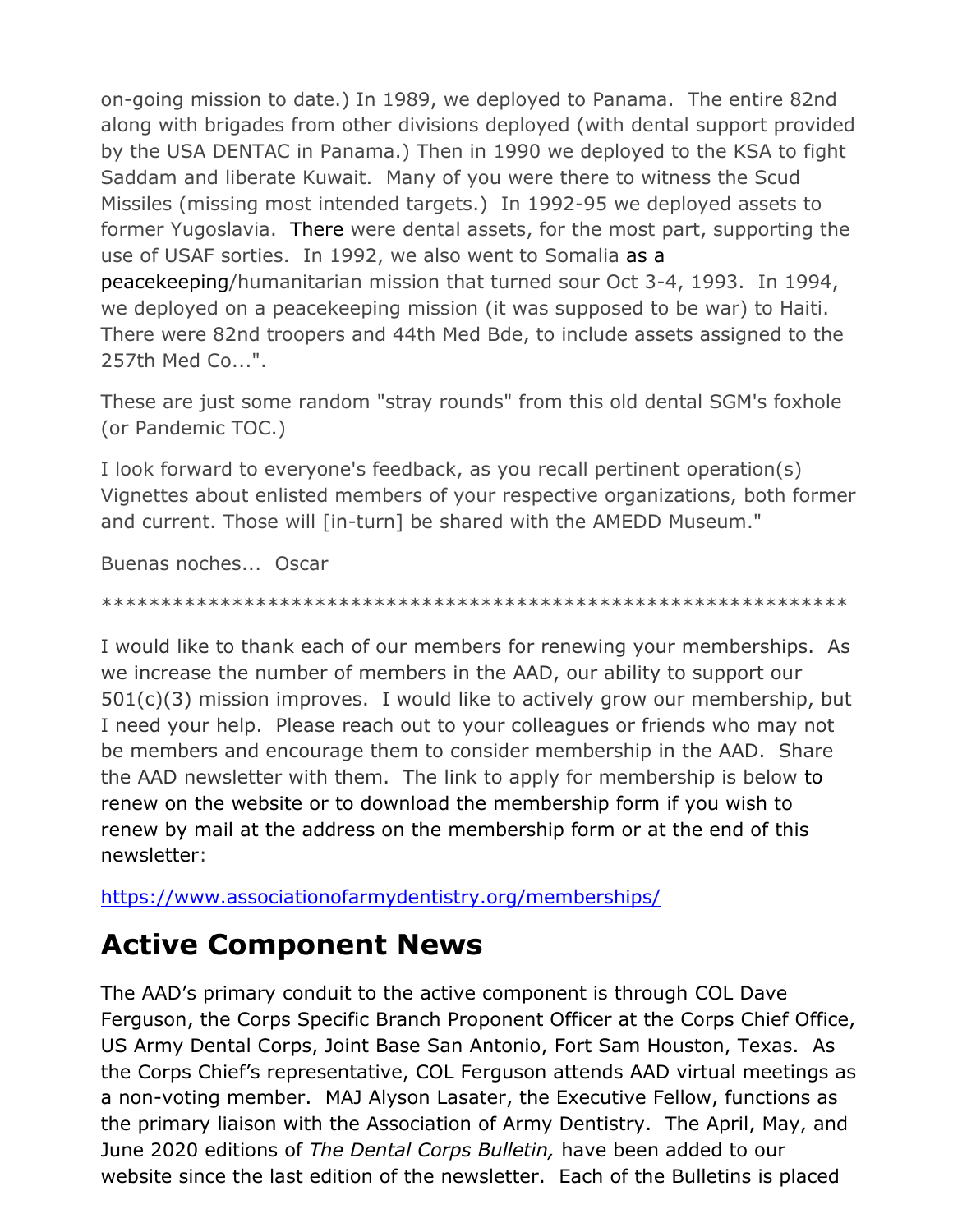on-going mission to date.) In 1989, we deployed to Panama. The entire 82nd along with brigades from other divisions deployed (with dental support provided by the USA DENTAC in Panama.) Then in 1990 we deployed to the KSA to fight Saddam and liberate Kuwait. Many of you were there to witness the Scud Missiles (missing most intended targets.) In 1992-95 we deployed assets to former Yugoslavia. There were dental assets, for the most part, supporting the use of USAF sorties. In 1992, we also went to Somalia as a peacekeeping/humanitarian mission that turned sour Oct 3-4, 1993. In 1994, we deployed on a peacekeeping mission (it was supposed to be war) to Haiti. There were 82nd troopers and 44th Med Bde, to include assets assigned to the 257th Med Co...".

These are just some random "stray rounds" from this old dental SGM's foxhole (or Pandemic TOC.)

I look forward to everyone's feedback, as you recall pertinent operation(s) Vignettes about enlisted members of your respective organizations, both former and current. Those will [in-turn] be shared with the AMEDD Museum."

Buenas noches... Oscar

#### \*\*\*\*\*\*\*\*\*\*\*\*\*\*\*\*\*\*\*\*\*\*\*\*\*\*\*\*\*\*\*\*\*\*\*\*\*\*\*\*\*\*\*\*\*\*\*\*\*\*\*\*\*\*\*\*\*\*\*\*\*\*\*

I would like to thank each of our members for renewing your memberships. As we increase the number of members in the AAD, our ability to support our 501(c)(3) mission improves. I would like to actively grow our membership, but I need your help. Please reach out to your colleagues or friends who may not be members and encourage them to consider membership in the AAD. Share the AAD newsletter with them. The link to apply for membership is below to renew on the website or to download the membership form if you wish to renew by mail at the address on the membership form or at the end of this newsletter:

<https://www.associationofarmydentistry.org/memberships/>

# **Active Component News**

The AAD's primary conduit to the active component is through COL Dave Ferguson, the Corps Specific Branch Proponent Officer at the Corps Chief Office, US Army Dental Corps, Joint Base San Antonio, Fort Sam Houston, Texas. As the Corps Chief's representative, COL Ferguson attends AAD virtual meetings as a non-voting member. MAJ Alyson Lasater, the Executive Fellow, functions as the primary liaison with the Association of Army Dentistry. The April, May, and June 2020 editions of *The Dental Corps Bulletin,* have been added to our website since the last edition of the newsletter. Each of the Bulletins is placed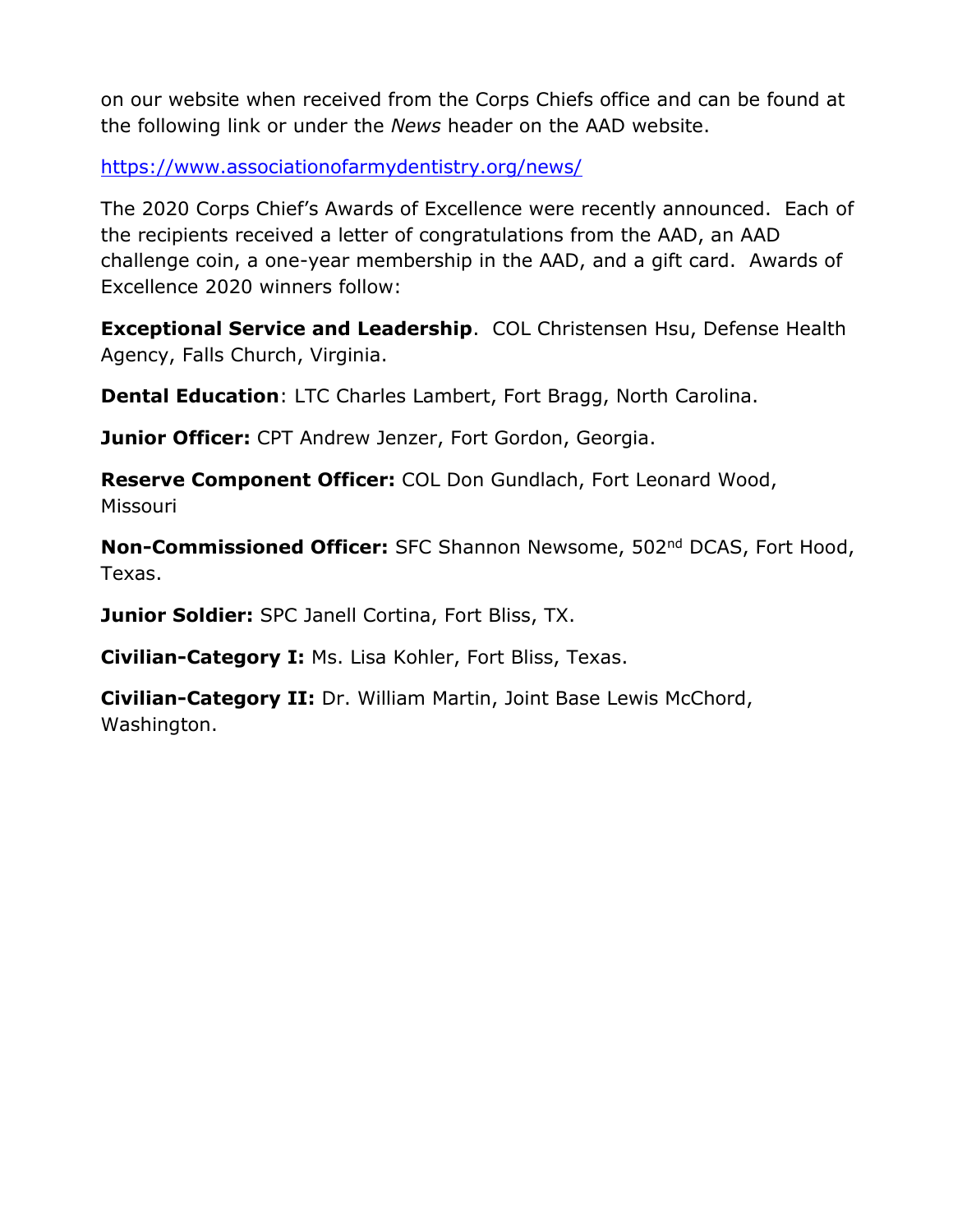on our website when received from the Corps Chiefs office and can be found at the following link or under the *News* header on the AAD website.

<https://www.associationofarmydentistry.org/news/>

The 2020 Corps Chief's Awards of Excellence were recently announced. Each of the recipients received a letter of congratulations from the AAD, an AAD challenge coin, a one-year membership in the AAD, and a gift card. Awards of Excellence 2020 winners follow:

**Exceptional Service and Leadership**. COL Christensen Hsu, Defense Health Agency, Falls Church, Virginia.

**Dental Education**: LTC Charles Lambert, Fort Bragg, North Carolina.

**Junior Officer:** CPT Andrew Jenzer, Fort Gordon, Georgia.

**Reserve Component Officer:** COL Don Gundlach, Fort Leonard Wood, Missouri

**Non-Commissioned Officer:** SFC Shannon Newsome, 502<sup>nd</sup> DCAS, Fort Hood, Texas.

**Junior Soldier:** SPC Janell Cortina, Fort Bliss, TX.

**Civilian-Category I:** Ms. Lisa Kohler, Fort Bliss, Texas.

**Civilian-Category II:** Dr. William Martin, Joint Base Lewis McChord, Washington.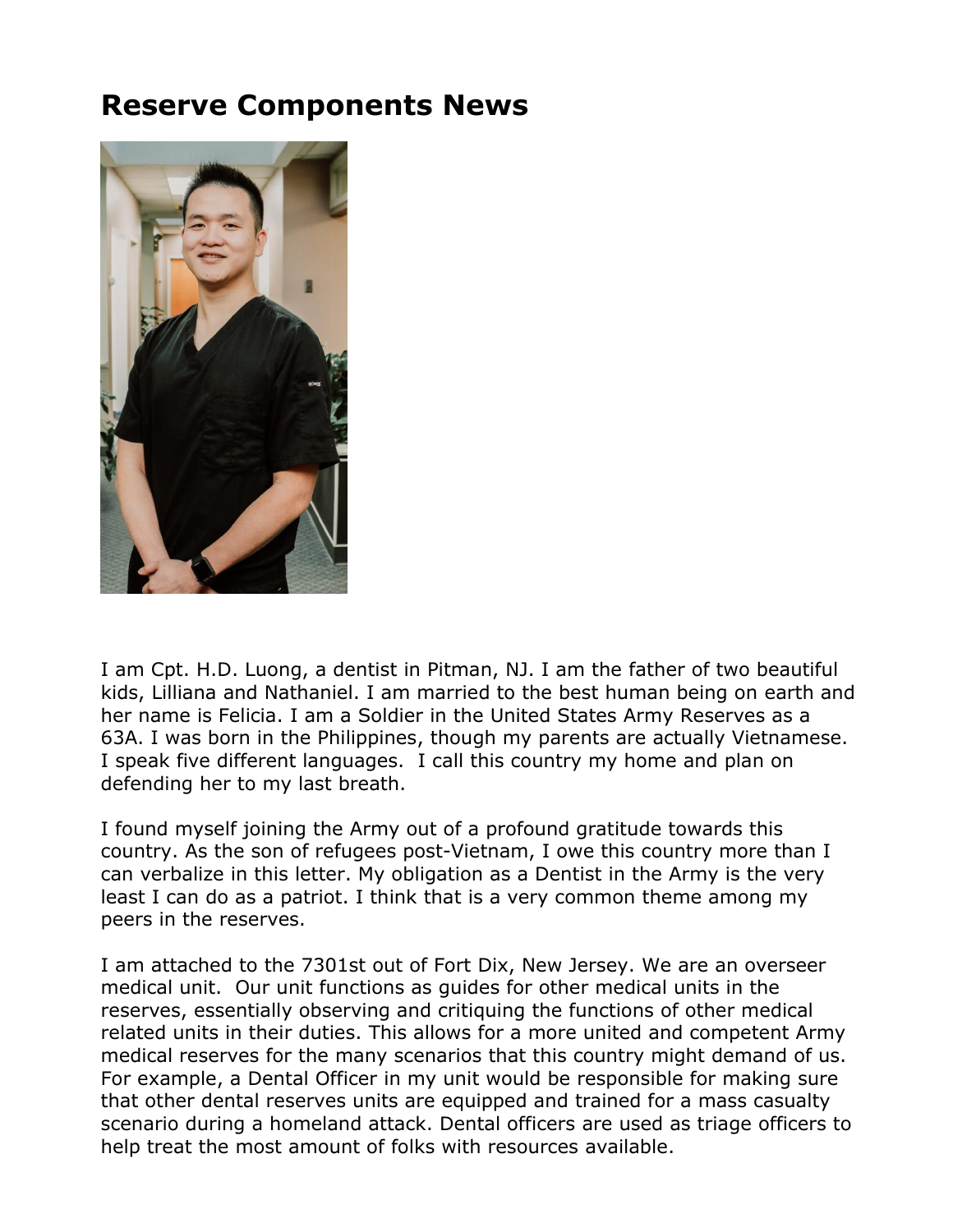## **Reserve Components News**



I am Cpt. H.D. Luong, a dentist in Pitman, NJ. I am the father of two beautiful kids, Lilliana and Nathaniel. I am married to the best human being on earth and her name is Felicia. I am a Soldier in the United States Army Reserves as a 63A. I was born in the Philippines, though my parents are actually Vietnamese. I speak five different languages. I call this country my home and plan on defending her to my last breath.

I found myself joining the Army out of a profound gratitude towards this country. As the son of refugees post-Vietnam, I owe this country more than I can verbalize in this letter. My obligation as a Dentist in the Army is the very least I can do as a patriot. I think that is a very common theme among my peers in the reserves.

I am attached to the 7301st out of Fort Dix, New Jersey. We are an overseer medical unit. Our unit functions as guides for other medical units in the reserves, essentially observing and critiquing the functions of other medical related units in their duties. This allows for a more united and competent Army medical reserves for the many scenarios that this country might demand of us. For example, a Dental Officer in my unit would be responsible for making sure that other dental reserves units are equipped and trained for a mass casualty scenario during a homeland attack. Dental officers are used as triage officers to help treat the most amount of folks with resources available.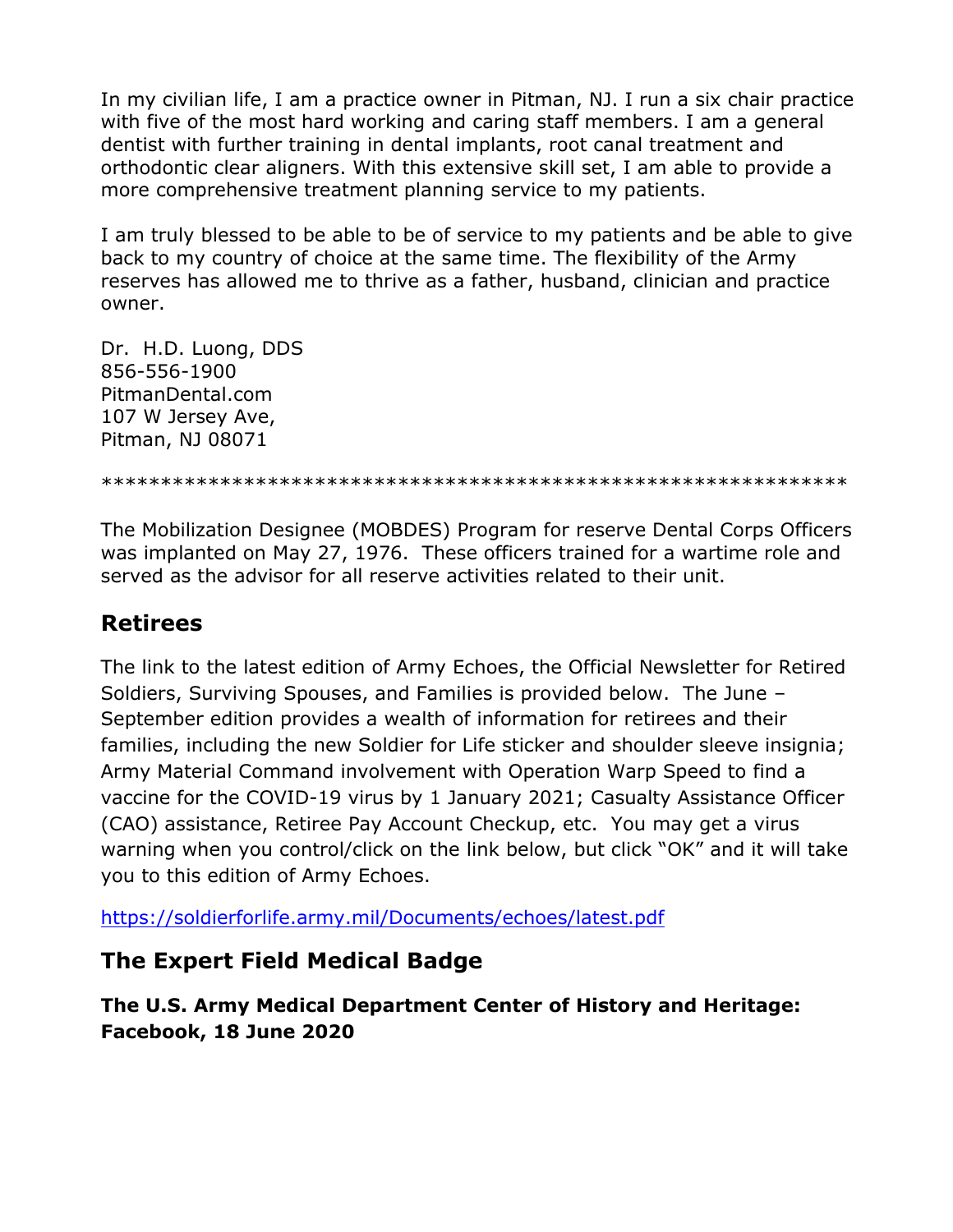In my civilian life, I am a practice owner in Pitman, NJ. I run a six chair practice with five of the most hard working and caring staff members. I am a general dentist with further training in dental implants, root canal treatment and orthodontic clear aligners. With this extensive skill set, I am able to provide a more comprehensive treatment planning service to my patients.

I am truly blessed to be able to be of service to my patients and be able to give back to my country of choice at the same time. The flexibility of the Army reserves has allowed me to thrive as a father, husband, clinician and practice owner.

Dr. H.D. Luong, DDS 856-556-1900 PitmanDental.com 107 W Jersey Ave, Pitman, NJ 08071

\*\*\*\*\*\*\*\*\*\*\*\*\*\*\*\*\*\*\*\*\*\*\*\*\*\*\*\*\*\*\*\*\*\*\*\*\*\*\*\*\*\*\*\*\*\*\*\*\*\*\*\*\*\*\*\*\*\*\*\*\*\*\*

The Mobilization Designee (MOBDES) Program for reserve Dental Corps Officers was implanted on May 27, 1976. These officers trained for a wartime role and served as the advisor for all reserve activities related to their unit.

### **Retirees**

The link to the latest edition of Army Echoes, the Official Newsletter for Retired Soldiers, Surviving Spouses, and Families is provided below. The June – September edition provides a wealth of information for retirees and their families, including the new Soldier for Life sticker and shoulder sleeve insignia; Army Material Command involvement with Operation Warp Speed to find a vaccine for the COVID-19 virus by 1 January 2021; Casualty Assistance Officer (CAO) assistance, Retiree Pay Account Checkup, etc. You may get a virus warning when you control/click on the link below, but click "OK" and it will take you to this edition of Army Echoes.

<https://soldierforlife.army.mil/Documents/echoes/latest.pdf>

### **The Expert Field Medical Badge**

**The U.S. Army Medical Department Center of History and Heritage: Facebook, 18 June 2020**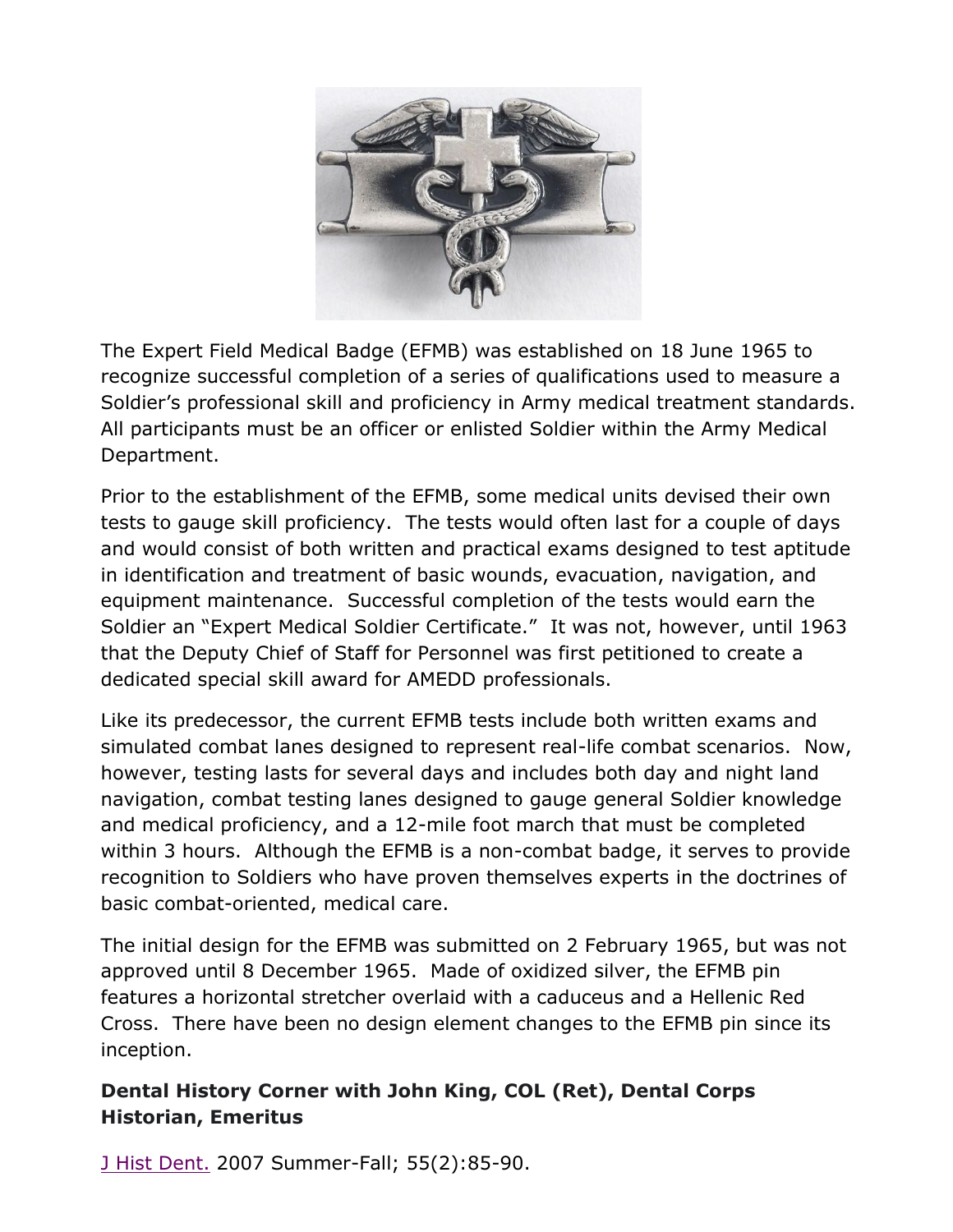

The Expert Field Medical Badge (EFMB) was established on 18 June 1965 to recognize successful completion of a series of qualifications used to measure a Soldier's professional skill and proficiency in Army medical treatment standards. All participants must be an officer or enlisted Soldier within the Army Medical Department.

Prior to the establishment of the EFMB, some medical units devised their own tests to gauge skill proficiency. The tests would often last for a couple of days and would consist of both written and practical exams designed to test aptitude in identification and treatment of basic wounds, evacuation, navigation, and equipment maintenance. Successful completion of the tests would earn the Soldier an "Expert Medical Soldier Certificate." It was not, however, until 1963 that the Deputy Chief of Staff for Personnel was first petitioned to create a dedicated special skill award for AMEDD professionals.

Like its predecessor, the current EFMB tests include both written exams and simulated combat lanes designed to represent real-life combat scenarios. Now, however, testing lasts for several days and includes both day and night land navigation, combat testing lanes designed to gauge general Soldier knowledge and medical proficiency, and a 12-mile foot march that must be completed within 3 hours. Although the EFMB is a non-combat badge, it serves to provide recognition to Soldiers who have proven themselves experts in the doctrines of basic combat-oriented, medical care.

The initial design for the EFMB was submitted on 2 February 1965, but was not approved until 8 December 1965. Made of oxidized silver, the EFMB pin features a horizontal stretcher overlaid with a caduceus and a Hellenic Red Cross. There have been no design element changes to the EFMB pin since its inception.

### **Dental History Corner with John King, COL (Ret), Dental Corps Historian, Emeritus**

[J Hist Dent.](https://www.ncbi.nlm.nih.gov/pubmed/17848049) 2007 Summer-Fall; 55(2):85-90.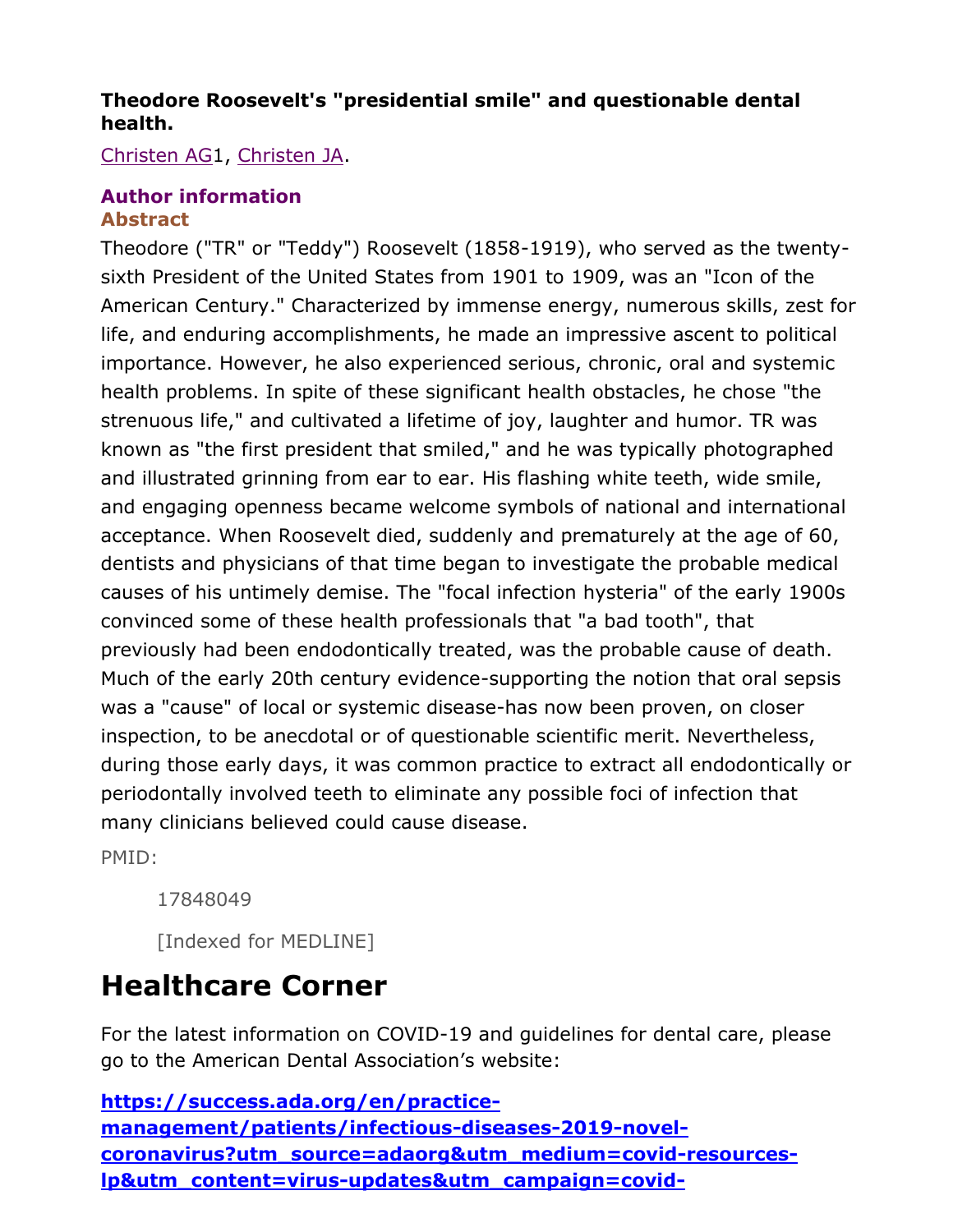### **Theodore Roosevelt's "presidential smile" and questionable dental health.**

[Christen AG1](https://www.ncbi.nlm.nih.gov/pubmed/?term=Christen%20AG%5BAuthor%5D&cauthor=true&cauthor_uid=17848049), [Christen JA.](https://www.ncbi.nlm.nih.gov/pubmed/?term=Christen%20JA%5BAuthor%5D&cauthor=true&cauthor_uid=17848049)

#### **[Author information](https://www.ncbi.nlm.nih.gov/pubmed/17848049) Abstract**

Theodore ("TR" or "Teddy") Roosevelt (1858-1919), who served as the twentysixth President of the United States from 1901 to 1909, was an "Icon of the American Century." Characterized by immense energy, numerous skills, zest for life, and enduring accomplishments, he made an impressive ascent to political importance. However, he also experienced serious, chronic, oral and systemic health problems. In spite of these significant health obstacles, he chose "the strenuous life," and cultivated a lifetime of joy, laughter and humor. TR was known as "the first president that smiled," and he was typically photographed and illustrated grinning from ear to ear. His flashing white teeth, wide smile, and engaging openness became welcome symbols of national and international acceptance. When Roosevelt died, suddenly and prematurely at the age of 60, dentists and physicians of that time began to investigate the probable medical causes of his untimely demise. The "focal infection hysteria" of the early 1900s convinced some of these health professionals that "a bad tooth", that previously had been endodontically treated, was the probable cause of death. Much of the early 20th century evidence-supporting the notion that oral sepsis was a "cause" of local or systemic disease-has now been proven, on closer inspection, to be anecdotal or of questionable scientific merit. Nevertheless, during those early days, it was common practice to extract all endodontically or periodontally involved teeth to eliminate any possible foci of infection that many clinicians believed could cause disease.

PMID:

17848049

[Indexed for MEDLINE]

# **Healthcare Corner**

For the latest information on COVID-19 and guidelines for dental care, please go to the American Dental Association's website:

**[https://success.ada.org/en/practice](https://success.ada.org/en/practice-management/patients/infectious-diseases-2019-novel-coronavirus?utm_source=adaorg&utm_medium=covid-resources-lp&utm_content=virus-updates&utm_campaign=covid-19&_ga=2.17447097.1293985743.1585452204-1741430929.1585452204)[management/patients/infectious-diseases-2019-novel](https://success.ada.org/en/practice-management/patients/infectious-diseases-2019-novel-coronavirus?utm_source=adaorg&utm_medium=covid-resources-lp&utm_content=virus-updates&utm_campaign=covid-19&_ga=2.17447097.1293985743.1585452204-1741430929.1585452204)[coronavirus?utm\\_source=adaorg&utm\\_medium=covid-resources](https://success.ada.org/en/practice-management/patients/infectious-diseases-2019-novel-coronavirus?utm_source=adaorg&utm_medium=covid-resources-lp&utm_content=virus-updates&utm_campaign=covid-19&_ga=2.17447097.1293985743.1585452204-1741430929.1585452204)[lp&utm\\_content=virus-updates&utm\\_campaign=covid-](https://success.ada.org/en/practice-management/patients/infectious-diseases-2019-novel-coronavirus?utm_source=adaorg&utm_medium=covid-resources-lp&utm_content=virus-updates&utm_campaign=covid-19&_ga=2.17447097.1293985743.1585452204-1741430929.1585452204)**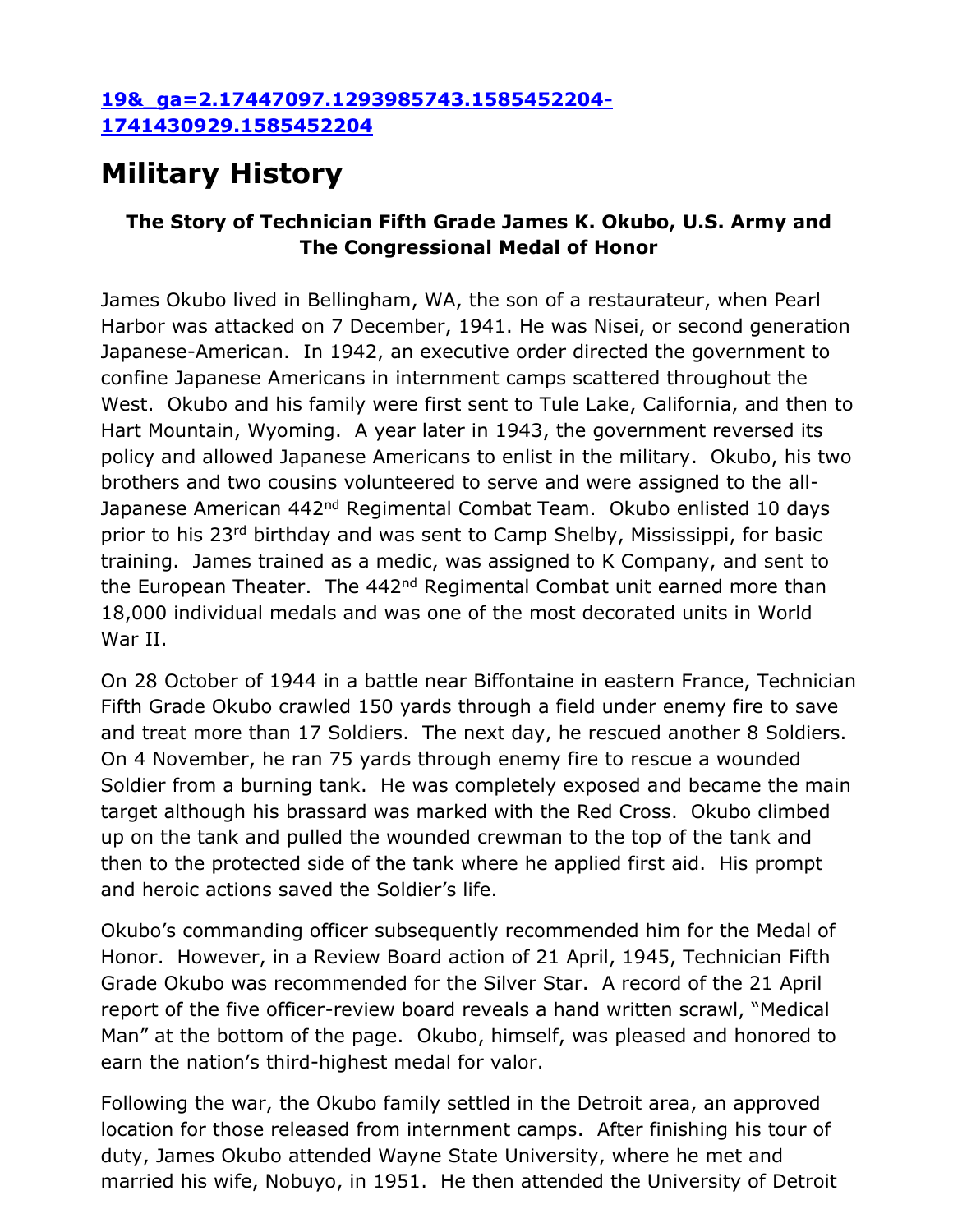#### **[19&\\_ga=2.17447097.1293985743.1585452204-](https://success.ada.org/en/practice-management/patients/infectious-diseases-2019-novel-coronavirus?utm_source=adaorg&utm_medium=covid-resources-lp&utm_content=virus-updates&utm_campaign=covid-19&_ga=2.17447097.1293985743.1585452204-1741430929.1585452204) [1741430929.1585452204](https://success.ada.org/en/practice-management/patients/infectious-diseases-2019-novel-coronavirus?utm_source=adaorg&utm_medium=covid-resources-lp&utm_content=virus-updates&utm_campaign=covid-19&_ga=2.17447097.1293985743.1585452204-1741430929.1585452204)**

# **Military History**

### **The Story of Technician Fifth Grade James K. Okubo, U.S. Army and The Congressional Medal of Honor**

James Okubo lived in Bellingham, WA, the son of a restaurateur, when Pearl Harbor was attacked on 7 December, 1941. He was Nisei, or second generation Japanese-American. In 1942, an executive order directed the government to confine Japanese Americans in internment camps scattered throughout the West. Okubo and his family were first sent to Tule Lake, California, and then to Hart Mountain, Wyoming. A year later in 1943, the government reversed its policy and allowed Japanese Americans to enlist in the military. Okubo, his two brothers and two cousins volunteered to serve and were assigned to the all-Japanese American 442<sup>nd</sup> Regimental Combat Team. Okubo enlisted 10 days prior to his 23<sup>rd</sup> birthday and was sent to Camp Shelby, Mississippi, for basic training. James trained as a medic, was assigned to K Company, and sent to the European Theater. The 442<sup>nd</sup> Regimental Combat unit earned more than 18,000 individual medals and was one of the most decorated units in World War II.

On 28 October of 1944 in a battle near Biffontaine in eastern France, Technician Fifth Grade Okubo crawled 150 yards through a field under enemy fire to save and treat more than 17 Soldiers. The next day, he rescued another 8 Soldiers. On 4 November, he ran 75 yards through enemy fire to rescue a wounded Soldier from a burning tank. He was completely exposed and became the main target although his brassard was marked with the Red Cross. Okubo climbed up on the tank and pulled the wounded crewman to the top of the tank and then to the protected side of the tank where he applied first aid. His prompt and heroic actions saved the Soldier's life.

Okubo's commanding officer subsequently recommended him for the Medal of Honor. However, in a Review Board action of 21 April, 1945, Technician Fifth Grade Okubo was recommended for the Silver Star. A record of the 21 April report of the five officer-review board reveals a hand written scrawl, "Medical Man" at the bottom of the page. Okubo, himself, was pleased and honored to earn the nation's third-highest medal for valor.

Following the war, the Okubo family settled in the Detroit area, an approved location for those released from internment camps. After finishing his tour of duty, James Okubo attended Wayne State University, where he met and married his wife, Nobuyo, in 1951. He then attended the University of Detroit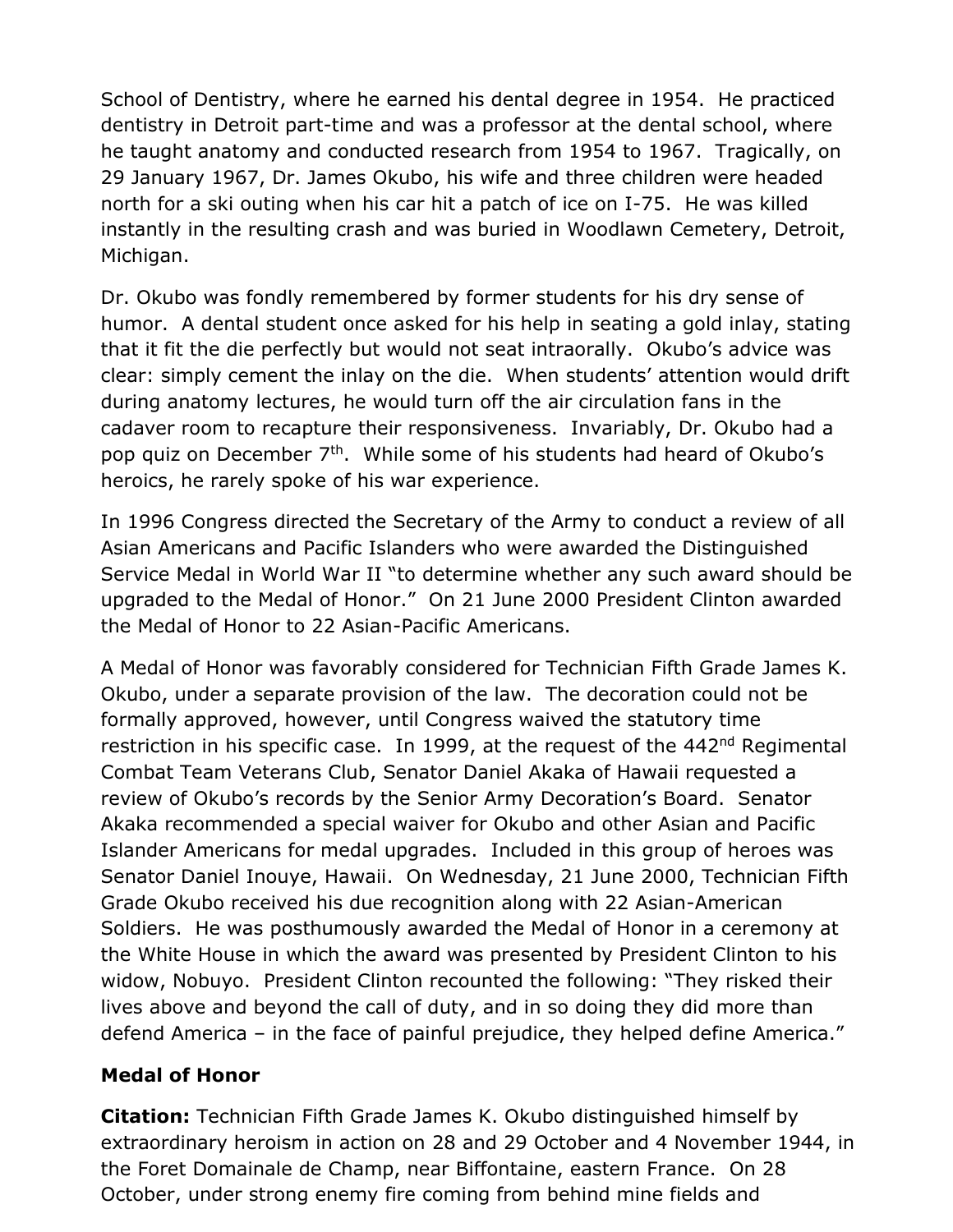School of Dentistry, where he earned his dental degree in 1954. He practiced dentistry in Detroit part-time and was a professor at the dental school, where he taught anatomy and conducted research from 1954 to 1967. Tragically, on 29 January 1967, Dr. James Okubo, his wife and three children were headed north for a ski outing when his car hit a patch of ice on I-75. He was killed instantly in the resulting crash and was buried in Woodlawn Cemetery, Detroit, Michigan.

Dr. Okubo was fondly remembered by former students for his dry sense of humor. A dental student once asked for his help in seating a gold inlay, stating that it fit the die perfectly but would not seat intraorally. Okubo's advice was clear: simply cement the inlay on the die. When students' attention would drift during anatomy lectures, he would turn off the air circulation fans in the cadaver room to recapture their responsiveness. Invariably, Dr. Okubo had a pop quiz on December 7<sup>th</sup>. While some of his students had heard of Okubo's heroics, he rarely spoke of his war experience.

In 1996 Congress directed the Secretary of the Army to conduct a review of all Asian Americans and Pacific Islanders who were awarded the Distinguished Service Medal in World War II "to determine whether any such award should be upgraded to the Medal of Honor." On 21 June 2000 President Clinton awarded the Medal of Honor to 22 Asian-Pacific Americans.

A Medal of Honor was favorably considered for Technician Fifth Grade James K. Okubo, under a separate provision of the law. The decoration could not be formally approved, however, until Congress waived the statutory time restriction in his specific case. In 1999, at the request of the 442<sup>nd</sup> Regimental Combat Team Veterans Club, Senator Daniel Akaka of Hawaii requested a review of Okubo's records by the Senior Army Decoration's Board. Senator Akaka recommended a special waiver for Okubo and other Asian and Pacific Islander Americans for medal upgrades. Included in this group of heroes was Senator Daniel Inouye, Hawaii. On Wednesday, 21 June 2000, Technician Fifth Grade Okubo received his due recognition along with 22 Asian-American Soldiers. He was posthumously awarded the Medal of Honor in a ceremony at the White House in which the award was presented by President Clinton to his widow, Nobuyo. President Clinton recounted the following: "They risked their lives above and beyond the call of duty, and in so doing they did more than defend America – in the face of painful prejudice, they helped define America."

#### **Medal of Honor**

**Citation:** Technician Fifth Grade James K. Okubo distinguished himself by extraordinary heroism in action on 28 and 29 October and 4 November 1944, in the Foret Domainale de Champ, near Biffontaine, eastern France. On 28 October, under strong enemy fire coming from behind mine fields and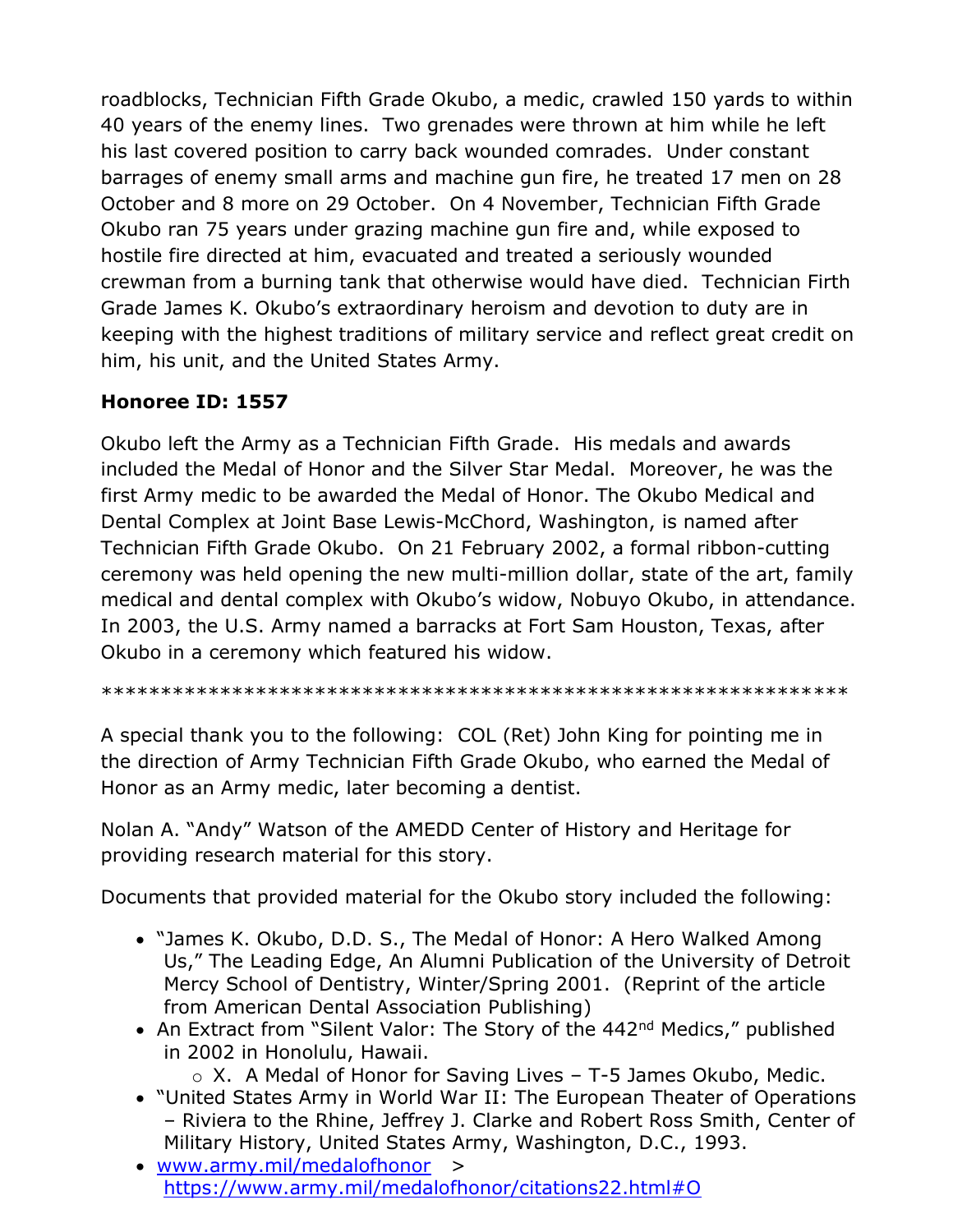roadblocks, Technician Fifth Grade Okubo, a medic, crawled 150 yards to within 40 years of the enemy lines. Two grenades were thrown at him while he left his last covered position to carry back wounded comrades. Under constant barrages of enemy small arms and machine gun fire, he treated 17 men on 28 October and 8 more on 29 October. On 4 November, Technician Fifth Grade Okubo ran 75 years under grazing machine gun fire and, while exposed to hostile fire directed at him, evacuated and treated a seriously wounded crewman from a burning tank that otherwise would have died. Technician Firth Grade James K. Okubo's extraordinary heroism and devotion to duty are in keeping with the highest traditions of military service and reflect great credit on him, his unit, and the United States Army.

#### **Honoree ID: 1557**

Okubo left the Army as a Technician Fifth Grade. His medals and awards included the Medal of Honor and the Silver Star Medal. Moreover, he was the first Army medic to be awarded the Medal of Honor. The Okubo Medical and Dental Complex at Joint Base Lewis-McChord, Washington, is named after Technician Fifth Grade Okubo. On 21 February 2002, a formal ribbon-cutting ceremony was held opening the new multi-million dollar, state of the art, family medical and dental complex with Okubo's widow, Nobuyo Okubo, in attendance. In 2003, the U.S. Army named a barracks at Fort Sam Houston, Texas, after Okubo in a ceremony which featured his widow.

\*\*\*\*\*\*\*\*\*\*\*\*\*\*\*\*\*\*\*\*\*\*\*\*\*\*\*\*\*\*\*\*\*\*\*\*\*\*\*\*\*\*\*\*\*\*\*\*\*\*\*\*\*\*\*\*\*\*\*\*\*\*\*

A special thank you to the following: COL (Ret) John King for pointing me in the direction of Army Technician Fifth Grade Okubo, who earned the Medal of Honor as an Army medic, later becoming a dentist.

Nolan A. "Andy" Watson of the AMEDD Center of History and Heritage for providing research material for this story.

Documents that provided material for the Okubo story included the following:

- "James K. Okubo, D.D. S., The Medal of Honor: A Hero Walked Among Us," The Leading Edge, An Alumni Publication of the University of Detroit Mercy School of Dentistry, Winter/Spring 2001. (Reprint of the article from American Dental Association Publishing)
- An Extract from "Silent Valor: The Story of the 442<sup>nd</sup> Medics," published in 2002 in Honolulu, Hawaii.
	- $\circ$  X. A Medal of Honor for Saving Lives T-5 James Okubo, Medic.
- "United States Army in World War II: The European Theater of Operations – Riviera to the Rhine, Jeffrey J. Clarke and Robert Ross Smith, Center of Military History, United States Army, Washington, D.C., 1993.
- [www.army.mil/medalofhonor](http://www.army.mil/medalofhonor) > <https://www.army.mil/medalofhonor/citations22.html#O>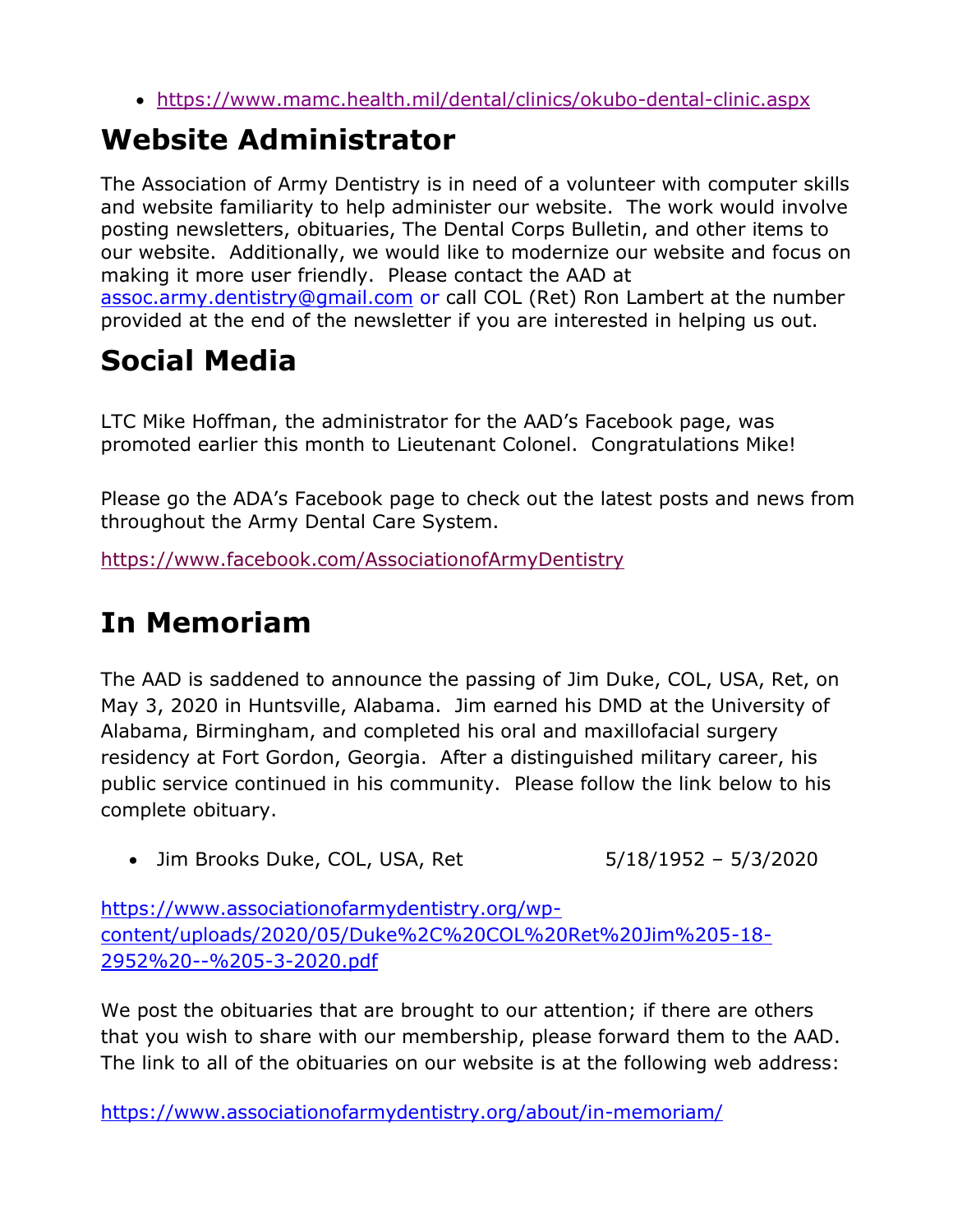<https://www.mamc.health.mil/dental/clinics/okubo-dental-clinic.aspx>

# **Website Administrator**

The Association of Army Dentistry is in need of a volunteer with computer skills and website familiarity to help administer our website. The work would involve posting newsletters, obituaries, The Dental Corps Bulletin, and other items to our website. Additionally, we would like to modernize our website and focus on making it more user friendly. Please contact the AAD at [assoc.army.dentistry@gmail.com](mailto:assoc.army.dentistry@gmail.com) or call COL (Ret) Ron Lambert at the number provided at the end of the newsletter if you are interested in helping us out.

# **Social Media**

LTC Mike Hoffman, the administrator for the AAD's Facebook page, was promoted earlier this month to Lieutenant Colonel. Congratulations Mike!

Please go the ADA's Facebook page to check out the latest posts and news from throughout the Army Dental Care System.

<https://www.facebook.com/AssociationofArmyDentistry>

# **In Memoriam**

The AAD is saddened to announce the passing of Jim Duke, COL, USA, Ret, on May 3, 2020 in Huntsville, Alabama. Jim earned his DMD at the University of Alabama, Birmingham, and completed his oral and maxillofacial surgery residency at Fort Gordon, Georgia. After a distinguished military career, his public service continued in his community. Please follow the link below to his complete obituary.

• Jim Brooks Duke, COL, USA, Ret 5/18/1952 - 5/3/2020

[https://www.associationofarmydentistry.org/wp](https://www.associationofarmydentistry.org/wp-content/uploads/2020/05/Duke%2C%20COL%20Ret%20Jim%205-18-2952%20--%205-3-2020.pdf)[content/uploads/2020/05/Duke%2C%20COL%20Ret%20Jim%205-18-](https://www.associationofarmydentistry.org/wp-content/uploads/2020/05/Duke%2C%20COL%20Ret%20Jim%205-18-2952%20--%205-3-2020.pdf) [2952%20--%205-3-2020.pdf](https://www.associationofarmydentistry.org/wp-content/uploads/2020/05/Duke%2C%20COL%20Ret%20Jim%205-18-2952%20--%205-3-2020.pdf)

We post the obituaries that are brought to our attention; if there are others that you wish to share with our membership, please forward them to the AAD. The link to all of the obituaries on our website is at the following web address:

<https://www.associationofarmydentistry.org/about/in-memoriam/>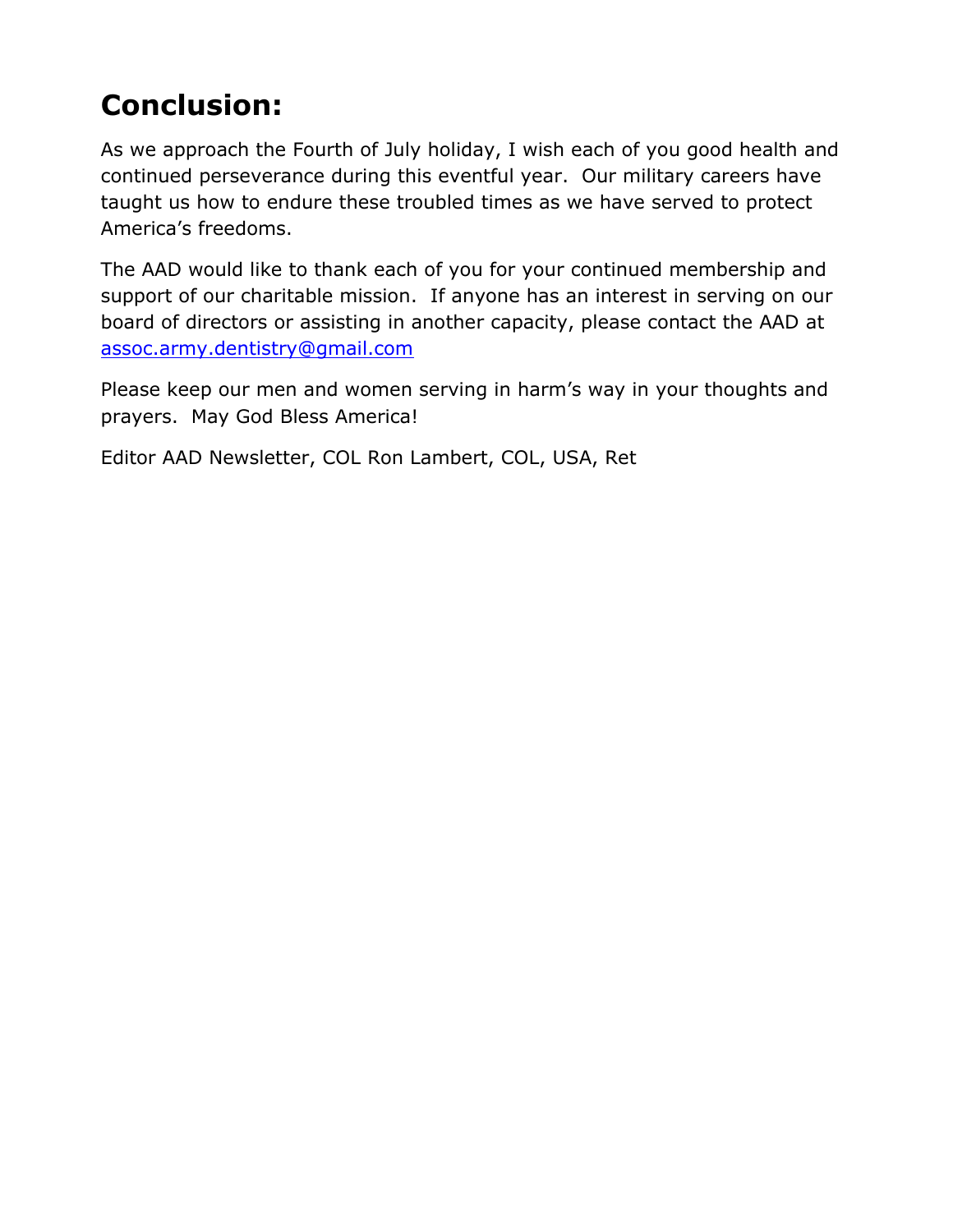# **Conclusion:**

As we approach the Fourth of July holiday, I wish each of you good health and continued perseverance during this eventful year. Our military careers have taught us how to endure these troubled times as we have served to protect America's freedoms.

The AAD would like to thank each of you for your continued membership and support of our charitable mission. If anyone has an interest in serving on our board of directors or assisting in another capacity, please contact the AAD at [assoc.army.dentistry@gmail.com](mailto:assoc.army.dentistry@gmail.com)

Please keep our men and women serving in harm's way in your thoughts and prayers. May God Bless America!

Editor AAD Newsletter, COL Ron Lambert, COL, USA, Ret